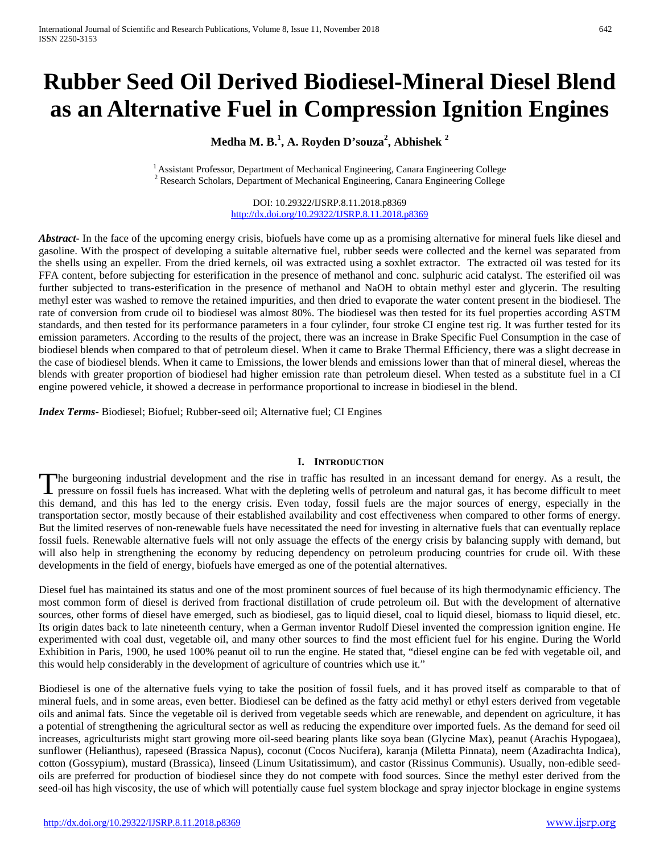# **Rubber Seed Oil Derived Biodiesel-Mineral Diesel Blend as an Alternative Fuel in Compression Ignition Engines**

# **Medha M. B.<sup>1</sup> , A. Royden D'souza<sup>2</sup> , Abhishek <sup>2</sup>**

<sup>1</sup> Assistant Professor, Department of Mechanical Engineering, Canara Engineering College<sup>2</sup> Research Scholars, Department of Mechanical Engineering, Canara Engineering College

DOI: 10.29322/IJSRP.8.11.2018.p8369 <http://dx.doi.org/10.29322/IJSRP.8.11.2018.p8369>

*Abstract* In the face of the upcoming energy crisis, biofuels have come up as a promising alternative for mineral fuels like diesel and gasoline. With the prospect of developing a suitable alternative fuel, rubber seeds were collected and the kernel was separated from the shells using an expeller. From the dried kernels, oil was extracted using a soxhlet extractor. The extracted oil was tested for its FFA content, before subjecting for esterification in the presence of methanol and conc. sulphuric acid catalyst. The esterified oil was further subjected to trans-esterification in the presence of methanol and NaOH to obtain methyl ester and glycerin. The resulting methyl ester was washed to remove the retained impurities, and then dried to evaporate the water content present in the biodiesel. The rate of conversion from crude oil to biodiesel was almost 80%. The biodiesel was then tested for its fuel properties according ASTM standards, and then tested for its performance parameters in a four cylinder, four stroke CI engine test rig. It was further tested for its emission parameters. According to the results of the project, there was an increase in Brake Specific Fuel Consumption in the case of biodiesel blends when compared to that of petroleum diesel. When it came to Brake Thermal Efficiency, there was a slight decrease in the case of biodiesel blends. When it came to Emissions, the lower blends and emissions lower than that of mineral diesel, whereas the blends with greater proportion of biodiesel had higher emission rate than petroleum diesel. When tested as a substitute fuel in a CI engine powered vehicle, it showed a decrease in performance proportional to increase in biodiesel in the blend.

*Index Terms*- Biodiesel; Biofuel; Rubber-seed oil; Alternative fuel; CI Engines

## **I. INTRODUCTION**

he burgeoning industrial development and the rise in traffic has resulted in an incessant demand for energy. As a result, the The burgeoning industrial development and the rise in traffic has resulted in an incessant demand for energy. As a result, the pressure on fossil fuels has increased. What with the depleting wells of petroleum and natural this demand, and this has led to the energy crisis. Even today, fossil fuels are the major sources of energy, especially in the transportation sector, mostly because of their established availability and cost effectiveness when compared to other forms of energy. But the limited reserves of non-renewable fuels have necessitated the need for investing in alternative fuels that can eventually replace fossil fuels. Renewable alternative fuels will not only assuage the effects of the energy crisis by balancing supply with demand, but will also help in strengthening the economy by reducing dependency on petroleum producing countries for crude oil. With these developments in the field of energy, biofuels have emerged as one of the potential alternatives.

Diesel fuel has maintained its status and one of the most prominent sources of fuel because of its high thermodynamic efficiency. The most common form of diesel is derived from fractional distillation of crude petroleum oil. But with the development of alternative sources, other forms of diesel have emerged, such as biodiesel, gas to liquid diesel, coal to liquid diesel, biomass to liquid diesel, etc. Its origin dates back to late nineteenth century, when a German inventor Rudolf Diesel invented the compression ignition engine. He experimented with coal dust, vegetable oil, and many other sources to find the most efficient fuel for his engine. During the World Exhibition in Paris, 1900, he used 100% peanut oil to run the engine. He stated that, "diesel engine can be fed with vegetable oil, and this would help considerably in the development of agriculture of countries which use it."

Biodiesel is one of the alternative fuels vying to take the position of fossil fuels, and it has proved itself as comparable to that of mineral fuels, and in some areas, even better. Biodiesel can be defined as the fatty acid methyl or ethyl esters derived from vegetable oils and animal fats. Since the vegetable oil is derived from vegetable seeds which are renewable, and dependent on agriculture, it has a potential of strengthening the agricultural sector as well as reducing the expenditure over imported fuels. As the demand for seed oil increases, agriculturists might start growing more oil-seed bearing plants like soya bean (Glycine Max), peanut (Arachis Hypogaea), sunflower (Helianthus), rapeseed (Brassica Napus), coconut (Cocos Nucifera), karanja (Miletta Pinnata), neem (Azadirachta Indica), cotton (Gossypium), mustard (Brassica), linseed (Linum Usitatissimum), and castor (Rissinus Communis). Usually, non-edible seedoils are preferred for production of biodiesel since they do not compete with food sources. Since the methyl ester derived from the seed-oil has high viscosity, the use of which will potentially cause fuel system blockage and spray injector blockage in engine systems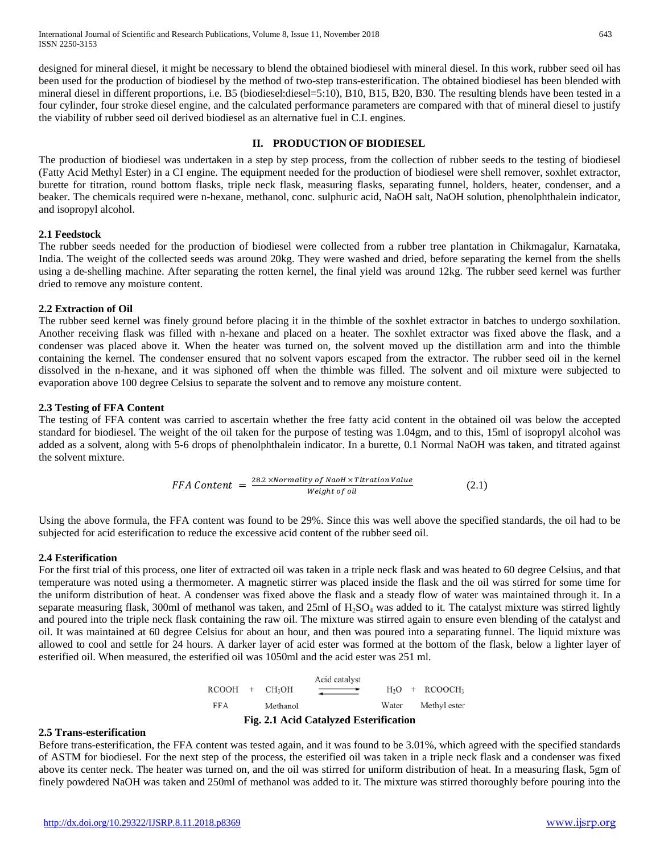designed for mineral diesel, it might be necessary to blend the obtained biodiesel with mineral diesel. In this work, rubber seed oil has been used for the production of biodiesel by the method of two-step trans-esterification. The obtained biodiesel has been blended with mineral diesel in different proportions, i.e. B5 (biodiesel:diesel=5:10), B10, B15, B20, B30. The resulting blends have been tested in a four cylinder, four stroke diesel engine, and the calculated performance parameters are compared with that of mineral diesel to justify the viability of rubber seed oil derived biodiesel as an alternative fuel in C.I. engines.

### **II. PRODUCTION OF BIODIESEL**

The production of biodiesel was undertaken in a step by step process, from the collection of rubber seeds to the testing of biodiesel (Fatty Acid Methyl Ester) in a CI engine. The equipment needed for the production of biodiesel were shell remover, soxhlet extractor, burette for titration, round bottom flasks, triple neck flask, measuring flasks, separating funnel, holders, heater, condenser, and a beaker. The chemicals required were n-hexane, methanol, conc. sulphuric acid, NaOH salt, NaOH solution, phenolphthalein indicator, and isopropyl alcohol.

### **2.1 Feedstock**

The rubber seeds needed for the production of biodiesel were collected from a rubber tree plantation in Chikmagalur, Karnataka, India. The weight of the collected seeds was around 20kg. They were washed and dried, before separating the kernel from the shells using a de-shelling machine. After separating the rotten kernel, the final yield was around 12kg. The rubber seed kernel was further dried to remove any moisture content.

### **2.2 Extraction of Oil**

The rubber seed kernel was finely ground before placing it in the thimble of the soxhlet extractor in batches to undergo soxhilation. Another receiving flask was filled with n-hexane and placed on a heater. The soxhlet extractor was fixed above the flask, and a condenser was placed above it. When the heater was turned on, the solvent moved up the distillation arm and into the thimble containing the kernel. The condenser ensured that no solvent vapors escaped from the extractor. The rubber seed oil in the kernel dissolved in the n-hexane, and it was siphoned off when the thimble was filled. The solvent and oil mixture were subjected to evaporation above 100 degree Celsius to separate the solvent and to remove any moisture content.

### **2.3 Testing of FFA Content**

The testing of FFA content was carried to ascertain whether the free fatty acid content in the obtained oil was below the accepted standard for biodiesel. The weight of the oil taken for the purpose of testing was 1.04gm, and to this, 15ml of isopropyl alcohol was added as a solvent, along with 5-6 drops of phenolphthalein indicator. In a burette, 0.1 Normal NaOH was taken, and titrated against the solvent mixture.

FFA Content = 
$$
\frac{28.2 \times Normality \ of \ NaOH \times Titration \ Value}{Weight \ of \ oil}
$$
 (2.1)

Using the above formula, the FFA content was found to be 29%. Since this was well above the specified standards, the oil had to be subjected for acid esterification to reduce the excessive acid content of the rubber seed oil.

## **2.4 Esterification**

For the first trial of this process, one liter of extracted oil was taken in a triple neck flask and was heated to 60 degree Celsius, and that temperature was noted using a thermometer. A magnetic stirrer was placed inside the flask and the oil was stirred for some time for the uniform distribution of heat. A condenser was fixed above the flask and a steady flow of water was maintained through it. In a separate measuring flask, 300ml of methanol was taken, and  $25ml$  of  $H_2SO_4$  was added to it. The catalyst mixture was stirred lightly and poured into the triple neck flask containing the raw oil. The mixture was stirred again to ensure even blending of the catalyst and oil. It was maintained at 60 degree Celsius for about an hour, and then was poured into a separating funnel. The liquid mixture was allowed to cool and settle for 24 hours. A darker layer of acid ester was formed at the bottom of the flask, below a lighter layer of esterified oil. When measured, the esterified oil was 1050ml and the acid ester was 251 ml.

> Acid catalyst  $RCOOH + CH<sub>3</sub>OH$  $H_2O + RCOOCH_3$ **FFA** Water Methyl ester Methanol **Fig. 2.1 Acid Catalyzed Esterification**

#### **2.5 Trans-esterification**

Before trans-esterification, the FFA content was tested again, and it was found to be 3.01%, which agreed with the specified standards of ASTM for biodiesel. For the next step of the process, the esterified oil was taken in a triple neck flask and a condenser was fixed above its center neck. The heater was turned on, and the oil was stirred for uniform distribution of heat. In a measuring flask, 5gm of finely powdered NaOH was taken and 250ml of methanol was added to it. The mixture was stirred thoroughly before pouring into the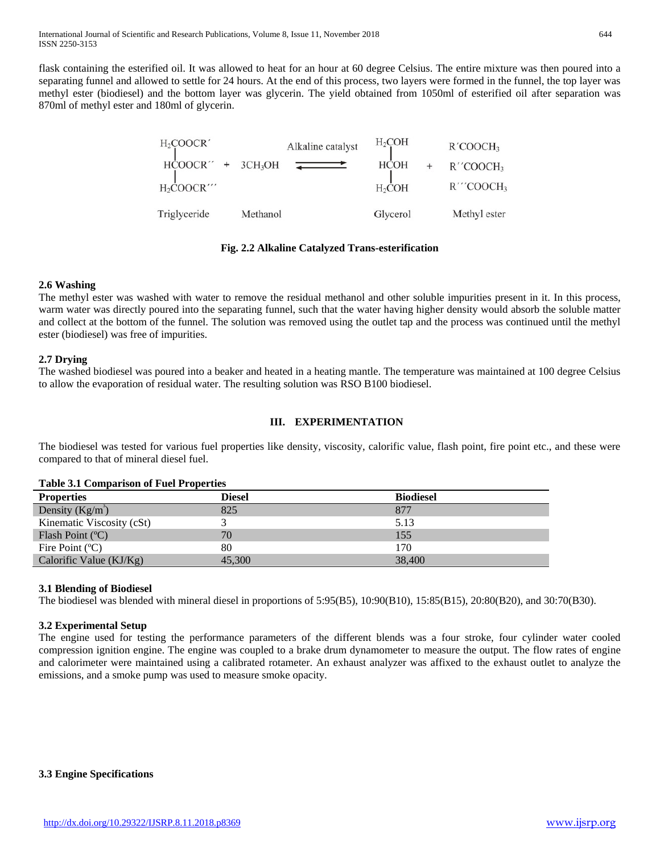flask containing the esterified oil. It was allowed to heat for an hour at 60 degree Celsius. The entire mixture was then poured into a separating funnel and allowed to settle for 24 hours. At the end of this process, two layers were formed in the funnel, the top layer was methyl ester (biodiesel) and the bottom layer was glycerin. The yield obtained from 1050ml of esterified oil after separation was 870ml of methyl ester and 180ml of glycerin.

| H <sub>2</sub> COOCR'               |                     | Alkaline catalyst | $H_2COH$           | R'COOCH <sub>3</sub>     |
|-------------------------------------|---------------------|-------------------|--------------------|--------------------------|
| HCOOCR''                            | 3CH <sub>3</sub> OH |                   | <b>HCOH</b>        | $R''$ COOCH <sub>3</sub> |
| $H_2$ COOCR $^{\prime\prime\prime}$ |                     |                   | H <sub>2</sub> COH | R'''COOCH3               |
| Triglyceride                        | Methanol            |                   | Glycerol           | Methyl ester             |

### **Fig. 2.2 Alkaline Catalyzed Trans-esterification**

## **2.6 Washing**

The methyl ester was washed with water to remove the residual methanol and other soluble impurities present in it. In this process, warm water was directly poured into the separating funnel, such that the water having higher density would absorb the soluble matter and collect at the bottom of the funnel. The solution was removed using the outlet tap and the process was continued until the methyl ester (biodiesel) was free of impurities.

## **2.7 Drying**

The washed biodiesel was poured into a beaker and heated in a heating mantle. The temperature was maintained at 100 degree Celsius to allow the evaporation of residual water. The resulting solution was RSO B100 biodiesel.

## **III. EXPERIMENTATION**

The biodiesel was tested for various fuel properties like density, viscosity, calorific value, flash point, fire point etc., and these were compared to that of mineral diesel fuel.

#### **Properties Diesel Biodiesel** Density  $(Kg/m^3)$ ) 825 877 Kinematic Viscosity (cSt) 3 5.13 Flash Point (°C) 70 155 Fire Point (°C) 80 170 Calorific Value (KJ/Kg)  $45,300$  38,400

## **Table 3.1 Comparison of Fuel Properties**

## **3.1 Blending of Biodiesel**

The biodiesel was blended with mineral diesel in proportions of 5:95(B5), 10:90(B10), 15:85(B15), 20:80(B20), and 30:70(B30).

## **3.2 Experimental Setup**

The engine used for testing the performance parameters of the different blends was a four stroke, four cylinder water cooled compression ignition engine. The engine was coupled to a brake drum dynamometer to measure the output. The flow rates of engine and calorimeter were maintained using a calibrated rotameter. An exhaust analyzer was affixed to the exhaust outlet to analyze the emissions, and a smoke pump was used to measure smoke opacity.

## **3.3 Engine Specifications**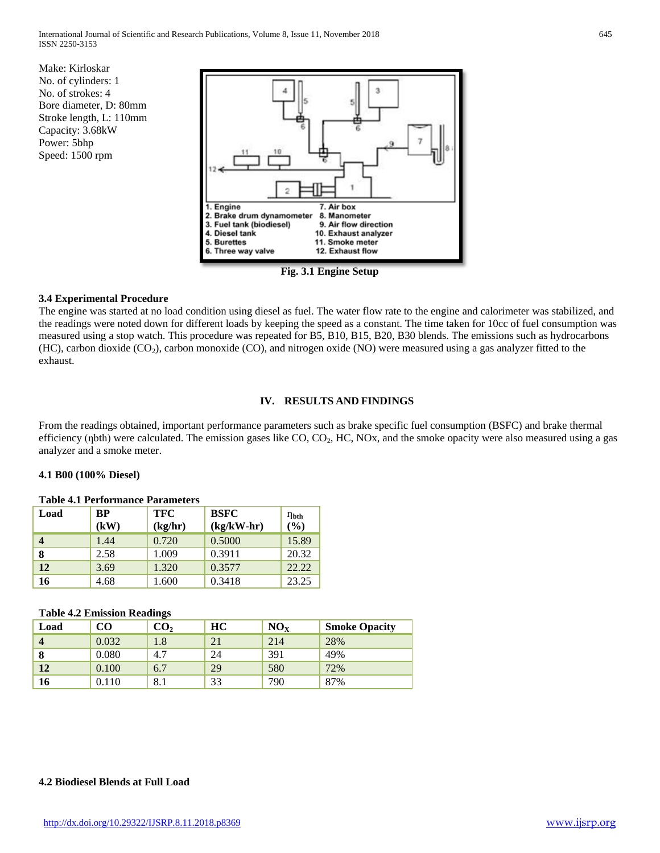Make: Kirloskar No. of cylinders: 1 No. of strokes: 4 Bore diameter, D: 80mm Stroke length, L: 110mm Capacity: 3.68kW Power: 5bhp Speed: 1500 rpm



**Fig. 3.1 Engine Setup**

## **3.4 Experimental Procedure**

The engine was started at no load condition using diesel as fuel. The water flow rate to the engine and calorimeter was stabilized, and the readings were noted down for different loads by keeping the speed as a constant. The time taken for 10cc of fuel consumption was measured using a stop watch. This procedure was repeated for B5, B10, B15, B20, B30 blends. The emissions such as hydrocarbons (HC), carbon dioxide (CO<sub>2</sub>), carbon monoxide (CO), and nitrogen oxide (NO) were measured using a gas analyzer fitted to the exhaust.

## **IV. RESULTS AND FINDINGS**

From the readings obtained, important performance parameters such as brake specific fuel consumption (BSFC) and brake thermal efficiency (nbth) were calculated. The emission gases like CO, CO<sub>2</sub>, HC, NOx, and the smoke opacity were also measured using a gas analyzer and a smoke meter.

## **4.1 B00 (100% Diesel)**

| TANIV III I VLIVIIIIIIIVV I MI MIIIVVVID |                   |                       |                             |                         |  |  |  |
|------------------------------------------|-------------------|-----------------------|-----------------------------|-------------------------|--|--|--|
| Load                                     | <b>BP</b><br>(kW) | <b>TFC</b><br>(kg/hr) | <b>BSFC</b><br>$(kg/kW-hr)$ | $\eta_{\rm bth}$<br>(%) |  |  |  |
|                                          | 1.44              | 0.720                 | 0.5000                      | 15.89                   |  |  |  |
| 8                                        | 2.58              | 1.009                 | 0.3911                      | 20.32                   |  |  |  |
| 12                                       | 3.69              | 1.320                 | 0.3577                      | 22.22                   |  |  |  |
| 16                                       | 4.68              | 1.600                 | 0.3418                      | 23.25                   |  |  |  |

# **Table 4.1 Performance Parameters**

# **Table 4.2 Emission Readings**

|      |       | $-$             |    |                 |                      |
|------|-------|-----------------|----|-----------------|----------------------|
| Load | CO    | $\mathbf{CO_2}$ | HC | NO <sub>x</sub> | <b>Smoke Opacity</b> |
|      | 0.032 | 1.8             | 21 | 214             | 28%                  |
| 8    | 0.080 | 4.7             | 24 | 391             | 49%                  |
| 12   | 0.100 | 6.7             | 29 | 580             | 72%                  |
| 16   | 0.110 | 8.1             | 33 | 790             | 87%                  |
|      |       |                 |    |                 |                      |

# **4.2 Biodiesel Blends at Full Load**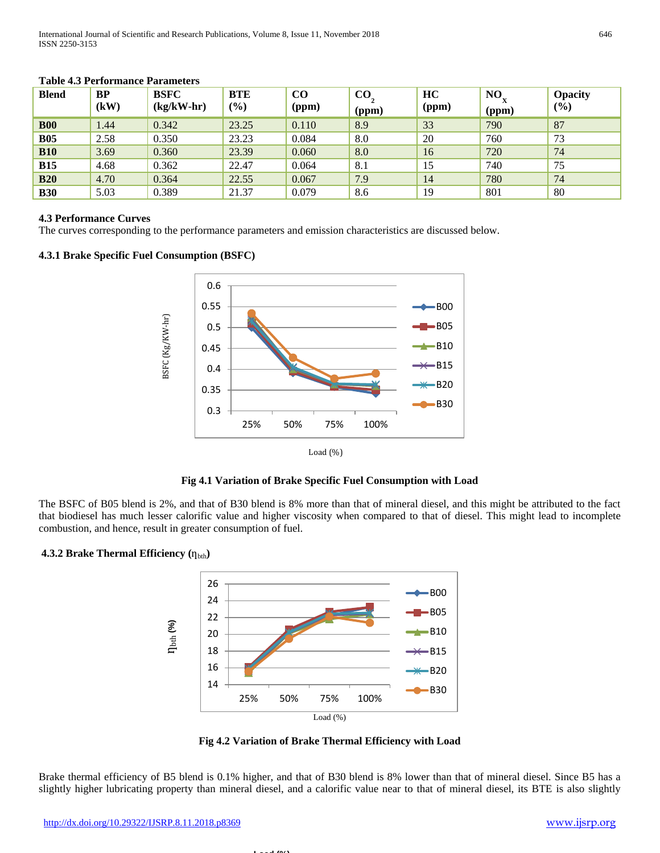| <b>Blend</b> | BP<br>(kW) | <b>BSFC</b><br>$(kg/kW-hr)$ | <b>BTE</b><br>(%) | $\bf CO$<br>(ppm) | $\bf CO$<br>(ppm) | HC<br>(ppm) | NO<br>(ppm) | <b>Opacity</b><br>$\frac{(0)}{0}$ |
|--------------|------------|-----------------------------|-------------------|-------------------|-------------------|-------------|-------------|-----------------------------------|
| <b>B00</b>   | 1.44       | 0.342                       | 23.25             | 0.110             | 8.9               | 33          | 790         | 87                                |
| <b>B05</b>   | 2.58       | 0.350                       | 23.23             | 0.084             | 8.0               | 20          | 760         | 73                                |
| <b>B10</b>   | 3.69       | 0.360                       | 23.39             | 0.060             | 8.0               | 16          | 720         | 74                                |
| <b>B15</b>   | 4.68       | 0.362                       | 22.47             | 0.064             | 8.1               | 15          | 740         | 75                                |
| <b>B20</b>   | 4.70       | 0.364                       | 22.55             | 0.067             | 7.9               | 14          | 780         | 74                                |
| <b>B30</b>   | 5.03       | 0.389                       | 21.37             | 0.079             | 8.6               | 19          | 801         | 80                                |

#### **Table 4.3 Performance Parameters**

### **4.3 Performance Curves**

The curves corresponding to the performance parameters and emission characteristics are discussed below.

### **4.3.1 Brake Specific Fuel Consumption (BSFC)**



#### **Fig 4.1 Variation of Brake Specific Fuel Consumption with Load**

The BSFC of B05 blend is 2%, and that of B30 blend is 8% more than that of mineral diesel, and this might be attributed to the fact that biodiesel has much lesser calorific value and higher viscosity when compared to that of diesel. This might lead to incomplete combustion, and hence, result in greater consumption of fuel.

## **4.3.2 Brake Thermal Efficiency** ( $\eta_{\text{bth}}$ )



**Fig 4.2 Variation of Brake Thermal Efficiency with Load**

Brake thermal efficiency of B5 blend is 0.1% higher, and that of B30 blend is 8% lower than that of mineral diesel. Since B5 has a slightly higher lubricating property than mineral diesel, and a calorific value near to that of mineral diesel, its BTE is also slightly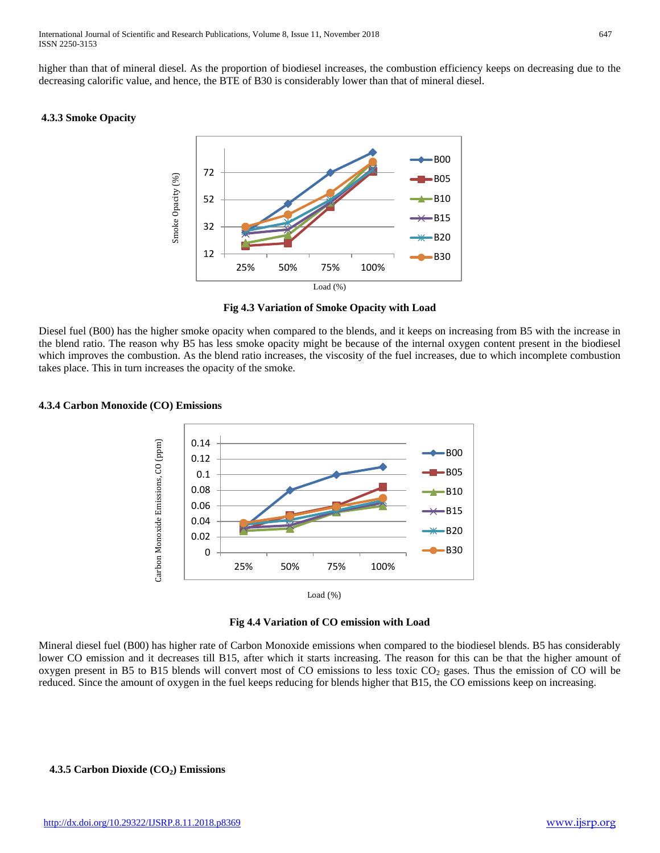higher than that of mineral diesel. As the proportion of biodiesel increases, the combustion efficiency keeps on decreasing due to the decreasing calorific value, and hence, the BTE of B30 is considerably lower than that of mineral diesel.

#### **4.3.3 Smoke Opacity**



**Fig 4.3 Variation of Smoke Opacity with Load**

Diesel fuel (B00) has the higher smoke opacity when compared to the blends, and it keeps on increasing from B5 with the increase in the blend ratio. The reason why B5 has less smoke opacity might be because of the internal oxygen content present in the biodiesel which improves the combustion. As the blend ratio increases, the viscosity of the fuel increases, due to which incomplete combustion takes place. This in turn increases the opacity of the smoke.

## **4.3.4 Carbon Monoxide (CO) Emissions**



**Fig 4.4 Variation of CO emission with Load**

Mineral diesel fuel (B00) has higher rate of Carbon Monoxide emissions when compared to the biodiesel blends. B5 has considerably lower CO emission and it decreases till B15, after which it starts increasing. The reason for this can be that the higher amount of oxygen present in B5 to B15 blends will convert most of CO emissions to less toxic  $CO<sub>2</sub>$  gases. Thus the emission of CO will be reduced. Since the amount of oxygen in the fuel keeps reducing for blends higher that B15, the CO emissions keep on increasing.

## **4.3.5 Carbon Dioxide (CO<sub>2</sub>) Emissions**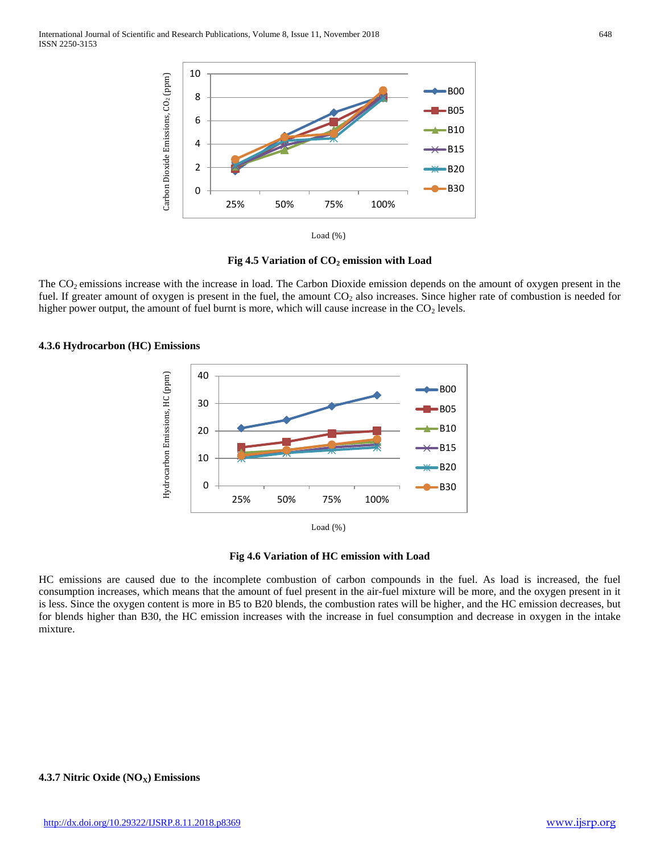



The  $CO<sub>2</sub>$  emissions increase with the increase in load. The Carbon Dioxide emission depends on the amount of oxygen present in the fuel. If greater amount of oxygen is present in the fuel, the amount CO<sub>2</sub> also increases. Since higher rate of combustion is needed for higher power output, the amount of fuel burnt is more, which will cause increase in the  $CO<sub>2</sub>$  levels.







HC emissions are caused due to the incomplete combustion of carbon compounds in the fuel. As load is increased, the fuel consumption increases, which means that the amount of fuel present in the air-fuel mixture will be more, and the oxygen present in it is less. Since the oxygen content is more in B5 to B20 blends, the combustion rates will be higher, and the HC emission decreases, but for blends higher than B30, the HC emission increases with the increase in fuel consumption and decrease in oxygen in the intake mixture.

#### **4.3.7 Nitric Oxide (NO<sub>X</sub>) Emissions**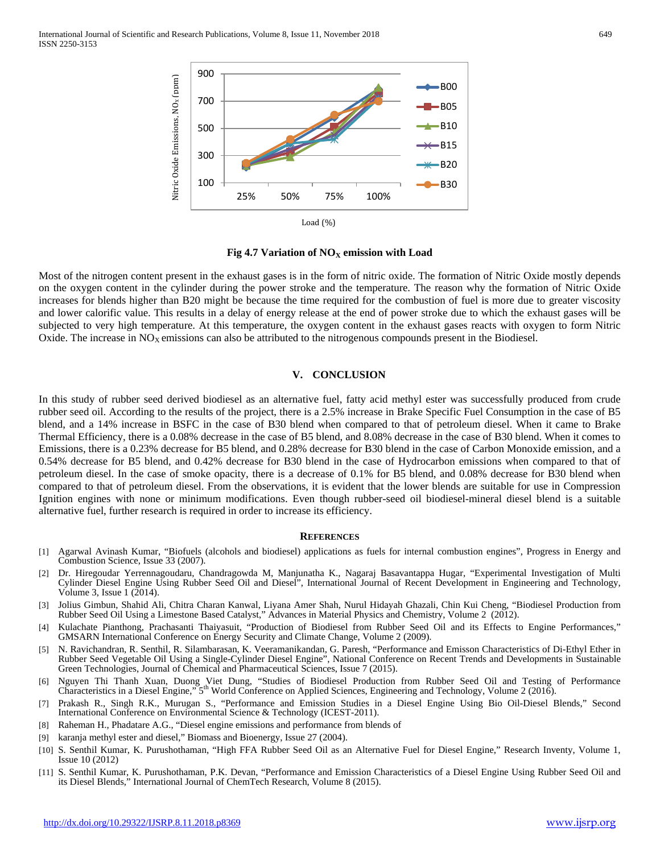International Journal of Scientific and Research Publications, Volume 8, Issue 11, November 2018 649 ISSN 2250-3153



**Fig 4.7 Variation of NO<sub>X</sub> emission with Load** 

Most of the nitrogen content present in the exhaust gases is in the form of nitric oxide. The formation of Nitric Oxide mostly depends on the oxygen content in the cylinder during the power stroke and the temperature. The reason why the formation of Nitric Oxide increases for blends higher than B20 might be because the time required for the combustion of fuel is more due to greater viscosity and lower calorific value. This results in a delay of energy release at the end of power stroke due to which the exhaust gases will be subjected to very high temperature. At this temperature, the oxygen content in the exhaust gases reacts with oxygen to form Nitric Oxide. The increase in  $NO<sub>X</sub>$  emissions can also be attributed to the nitrogenous compounds present in the Biodiesel.

#### **V. CONCLUSION**

In this study of rubber seed derived biodiesel as an alternative fuel, fatty acid methyl ester was successfully produced from crude rubber seed oil. According to the results of the project, there is a 2.5% increase in Brake Specific Fuel Consumption in the case of B5 blend, and a 14% increase in BSFC in the case of B30 blend when compared to that of petroleum diesel. When it came to Brake Thermal Efficiency, there is a 0.08% decrease in the case of B5 blend, and 8.08% decrease in the case of B30 blend. When it comes to Emissions, there is a 0.23% decrease for B5 blend, and 0.28% decrease for B30 blend in the case of Carbon Monoxide emission, and a 0.54% decrease for B5 blend, and 0.42% decrease for B30 blend in the case of Hydrocarbon emissions when compared to that of petroleum diesel. In the case of smoke opacity, there is a decrease of 0.1% for B5 blend, and 0.08% decrease for B30 blend when compared to that of petroleum diesel. From the observations, it is evident that the lower blends are suitable for use in Compression Ignition engines with none or minimum modifications. Even though rubber-seed oil biodiesel-mineral diesel blend is a suitable alternative fuel, further research is required in order to increase its efficiency.

#### **REFERENCES**

- [1] Agarwal Avinash Kumar, "Biofuels (alcohols and biodiesel) applications as fuels for internal combustion engines", Progress in Energy and Combustion Science, Issue 33 (2007).
- [2] Dr. Hiregoudar Yerrennagoudaru, Chandragowda M, Manjunatha K., Nagaraj Basavantappa Hugar, "Experimental Investigation of Multi Cylinder Diesel Engine Using Rubber Seed Oil and Diesel", International Journal of Recent Development in Engineering and Technology, Volume 3, Issue 1 (2014).
- [3] Jolius Gimbun, Shahid Ali, Chitra Charan Kanwal, Liyana Amer Shah, Nurul Hidayah Ghazali, Chin Kui Cheng, "Biodiesel Production from Rubber Seed Oil Using a Limestone Based Catalyst," Advances in Material Physics and Chemistry, Volume 2 (2012).
- [4] Kulachate Pianthong, Prachasanti Thaiyasuit, "Production of Biodiesel from Rubber Seed Oil and its Effects to Engine Performances," GMSARN International Conference on Energy Security and Climate Change, Volume 2 (2009).
- [5] N. Ravichandran, R. Senthil, R. Silambarasan, K. Veeramanikandan, G. Paresh, "Performance and Emisson Characteristics of Di-Ethyl Ether in Rubber Seed Vegetable Oil Using a Single-Cylinder Diesel Engine", National Conference on Recent Trends and Developments in Sustainable Green Technologies, Journal of Chemical and Pharmaceutical Sciences, Issue 7 (2015).
- [6] Nguyen Thi Thanh Xuan, Duong Viet Dung, "Studies of Biodiesel Production from Rubber Seed Oil and Testing of Performance Characteristics in a Diesel Engine," 5th World Conference on Applied Sciences, Engineering and Technology, Volume 2 (2016).
- [7] Prakash R., Singh R.K., Murugan S., "Performance and Emission Studies in a Diesel Engine Using Bio Oil-Diesel Blends," Second International Conference on Environmental Science & Technology (ICEST-2011).
- [8] Raheman H., Phadatare A.G., "Diesel engine emissions and performance from blends of
- [9] karanja methyl ester and diesel," Biomass and Bioenergy, Issue 27 (2004).
- [10] S. Senthil Kumar, K. Purushothaman, "High FFA Rubber Seed Oil as an Alternative Fuel for Diesel Engine," Research Inventy, Volume 1, Issue 10 (2012)
- [11] S. Senthil Kumar, K. Purushothaman, P.K. Devan, "Performance and Emission Characteristics of a Diesel Engine Using Rubber Seed Oil and its Diesel Blends," International Journal of ChemTech Research, Volume 8 (2015).